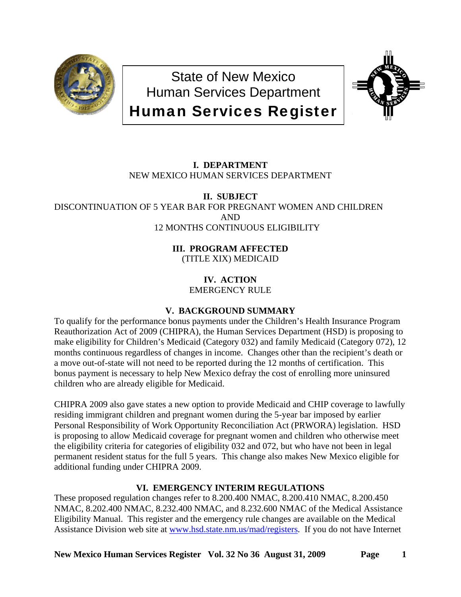

State of New Mexico Human Services Department Human Services Register



# **I. DEPARTMENT**  NEW MEXICO HUMAN SERVICES DEPARTMENT

**II. SUBJECT**  DISCONTINUATION OF 5 YEAR BAR FOR PREGNANT WOMEN AND CHILDREN AND 12 MONTHS CONTINUOUS ELIGIBILITY

> **III. PROGRAM AFFECTED**  (TITLE XIX) MEDICAID

> > **IV. ACTION**  EMERGENCY RULE

# **V. BACKGROUND SUMMARY**

To qualify for the performance bonus payments under the Children's Health Insurance Program Reauthorization Act of 2009 (CHIPRA), the Human Services Department (HSD) is proposing to make eligibility for Children's Medicaid (Category 032) and family Medicaid (Category 072), 12 months continuous regardless of changes in income. Changes other than the recipient's death or a move out-of-state will not need to be reported during the 12 months of certification. This bonus payment is necessary to help New Mexico defray the cost of enrolling more uninsured children who are already eligible for Medicaid.

CHIPRA 2009 also gave states a new option to provide Medicaid and CHIP coverage to lawfully residing immigrant children and pregnant women during the 5-year bar imposed by earlier Personal Responsibility of Work Opportunity Reconciliation Act (PRWORA) legislation. HSD is proposing to allow Medicaid coverage for pregnant women and children who otherwise meet the eligibility criteria for categories of eligibility 032 and 072, but who have not been in legal permanent resident status for the full 5 years. This change also makes New Mexico eligible for additional funding under CHIPRA 2009.

# **VI. EMERGENCY INTERIM REGULATIONS**

These proposed regulation changes refer to 8.200.400 NMAC, 8.200.410 NMAC, 8.200.450 NMAC, 8.202.400 NMAC, 8.232.400 NMAC, and 8.232.600 NMAC of the Medical Assistance Eligibility Manual. This register and the emergency rule changes are available on the Medical Assistance Division web site at [www.hsd.state.nm.us/mad/registers.](http://www.hsd.state.nm.us/mad/registers) If you do not have Internet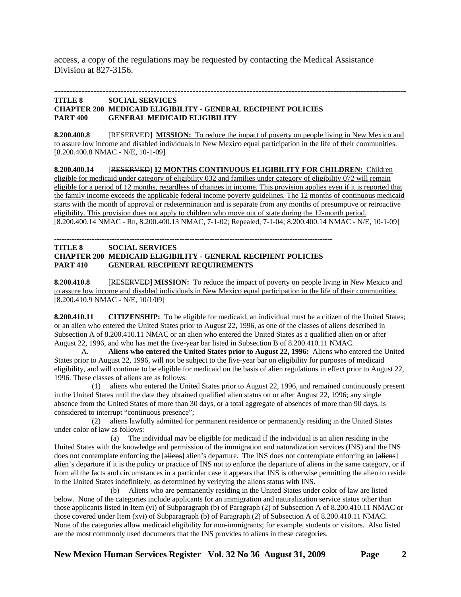access, a copy of the regulations may be requested by contacting the Medical Assistance Division at 827-3156.

### --------------------------------------------------------------------------------------------------------------------- **TITLE 8 SOCIAL SERVICES CHAPTER 200 MEDICAID ELIGIBILITY - GENERAL RECIPIENT POLICIES PART 400 GENERAL MEDICAID ELIGIBILITY**

**8.200.400.8** [RESERVED] **MISSION:** To reduce the impact of poverty on people living in New Mexico and to assure low income and disabled individuals in New Mexico equal participation in the life of their communities. [8.200.400.8 NMAC - N/E, 10-1-09]

**8.200.400.14** [RESERVED] **12 MONTHS CONTINUOUS ELIGIBILITY FOR CHILDREN:** Children eligible for medicaid under category of eligibility 032 and families under category of eligibility 072 will remain eligible for a period of 12 months, regardless of changes in income. This provision applies even if it is reported that the family income exceeds the applicable federal income poverty guidelines. The 12 months of continuous medicaid starts with the month of approval or redetermination and is separate from any months of presumptive or retroactive eligibility. This provision does not apply to children who move out of state during the 12-month period. [8.200.400.14 NMAC - Rn, 8.200.400.13 NMAC, 7-1-02; Repealed, 7-1-04; 8.200.400.14 NMAC - N/E, 10-1-09]

#### --------------------------------------------------------------------------------------------------------------- **TITLE 8 SOCIAL SERVICES CHAPTER 200 MEDICAID ELIGIBILITY - GENERAL RECIPIENT POLICIES PART 410 GENERAL RECIPIENT REQUIREMENTS**

**8.200.410.8** [RESERVED] **MISSION:** To reduce the impact of poverty on people living in New Mexico and to assure low income and disabled individuals in New Mexico equal participation in the life of their communities. [8.200.410.9 NMAC - N/E, 10/1/09]

**8.200.410.11 CITIZENSHIP:** To be eligible for medicaid, an individual must be a citizen of the United States; or an alien who entered the United States prior to August 22, 1996, as one of the classes of aliens described in Subsection A of 8.200.410.11 NMAC or an alien who entered the United States as a qualified alien on or after August 22, 1996, and who has met the five-year bar listed in Subsection B of 8.200.410.11 NMAC.

 A. **Aliens who entered the United States prior to August 22, 1996:** Aliens who entered the United States prior to August 22, 1996, will not be subject to the five-year bar on eligibility for purposes of medicaid eligibility, and will continue to be eligible for medicaid on the basis of alien regulations in effect prior to August 22, 1996. These classes of aliens are as follows:

 (1) aliens who entered the United States prior to August 22, 1996, and remained continuously present in the United States until the date they obtained qualified alien status on or after August 22, 1996; any single absence from the United States of more than 30 days, or a total aggregate of absences of more than 90 days, is considered to interrupt "continuous presence";

 (2) aliens lawfully admitted for permanent residence or permanently residing in the United States under color of law as follows:

 (a) The individual may be eligible for medicaid if the individual is an alien residing in the United States with the knowledge and permission of the immigration and naturalization services (INS) and the INS does not contemplate enforcing the [aliens] alien's departure. The INS does not contemplate enforcing an [aliens] alien's departure if it is the policy or practice of INS not to enforce the departure of aliens in the same category, or if from all the facts and circumstances in a particular case it appears that INS is otherwise permitting the alien to reside in the United States indefinitely, as determined by verifying the aliens status with INS.

 (b) Aliens who are permanently residing in the United States under color of law are listed below. None of the categories include applicants for an immigration and naturalization service status other than those applicants listed in Item (vi) of Subparagraph (b) of Paragraph (2) of Subsection A of 8.200.410.11 NMAC or those covered under Item (xvi) of Subparagraph (b) of Paragraph (2) of Subsection A of 8.200.410.11 NMAC. None of the categories allow medicaid eligibility for non-immigrants; for example, students or visitors. Also listed are the most commonly used documents that the INS provides to aliens in these categories.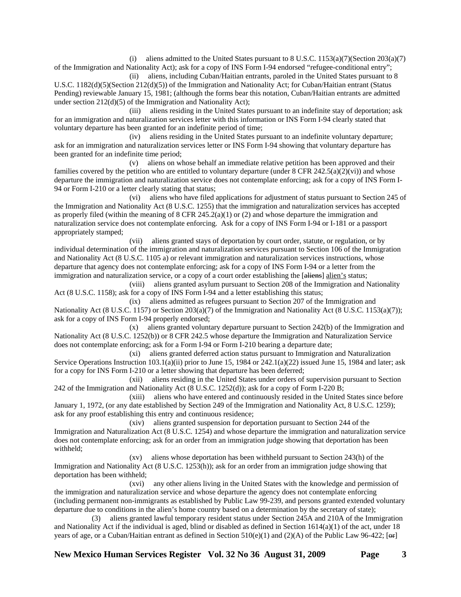(i) aliens admitted to the United States pursuant to  $8 \text{ U.S.C. } 1153(a)(7)(\text{Section } 203(a)(7)$ of the Immigration and Nationality Act); ask for a copy of INS Form I-94 endorsed "refugee-conditional entry";

 (ii) aliens, including Cuban/Haitian entrants, paroled in the United States pursuant to 8 U.S.C. 1182(d)(5)(Section 212(d)(5)) of the Immigration and Nationality Act; for Cuban/Haitian entrant (Status Pending) reviewable January 15, 1981; (although the forms bear this notation, Cuban/Haitian entrants are admitted under section 212(d)(5) of the Immigration and Nationality Act);

 (iii) aliens residing in the United States pursuant to an indefinite stay of deportation; ask for an immigration and naturalization services letter with this information or INS Form I-94 clearly stated that voluntary departure has been granted for an indefinite period of time;

 (iv) aliens residing in the United States pursuant to an indefinite voluntary departure; ask for an immigration and naturalization services letter or INS Form I-94 showing that voluntary departure has been granted for an indefinite time period;

 (v) aliens on whose behalf an immediate relative petition has been approved and their families covered by the petition who are entitled to voluntary departure (under  $8$  CFR 242.5(a)(2)(vi)) and whose departure the immigration and naturalization service does not contemplate enforcing; ask for a copy of INS Form I-94 or Form I-210 or a letter clearly stating that status;

 (vi) aliens who have filed applications for adjustment of status pursuant to Section 245 of the Immigration and Nationality Act (8 U.S.C. 1255) that the immigration and naturalization services has accepted as properly filed (within the meaning of  $8$  CFR 245.2(a)(1) or (2) and whose departure the immigration and naturalization service does not contemplate enforcing. Ask for a copy of INS Form I-94 or I-181 or a passport appropriately stamped;

 (vii) aliens granted stays of deportation by court order, statute, or regulation, or by individual determination of the immigration and naturalization services pursuant to Section 106 of the Immigration and Nationality Act (8 U.S.C. 1105 a) or relevant immigration and naturalization services instructions, whose departure that agency does not contemplate enforcing; ask for a copy of INS Form I-94 or a letter from the immigration and naturalization service, or a copy of a court order establishing the [aliens] alien's status;

 (viii) aliens granted asylum pursuant to Section 208 of the Immigration and Nationality Act (8 U.S.C. 1158); ask for a copy of INS Form I-94 and a letter establishing this status;

 (ix) aliens admitted as refugees pursuant to Section 207 of the Immigration and Nationality Act (8 U.S.C. 1157) or Section 203(a)(7) of the Immigration and Nationality Act (8 U.S.C. 1153(a)(7)); ask for a copy of INS Form I-94 properly endorsed;

 (x) aliens granted voluntary departure pursuant to Section 242(b) of the Immigration and Nationality Act (8 U.S.C. 1252(b)) or 8 CFR 242.5 whose departure the Immigration and Naturalization Service does not contemplate enforcing; ask for a Form I-94 or Form I-210 bearing a departure date;

 (xi) aliens granted deferred action status pursuant to Immigration and Naturalization Service Operations Instruction  $103.1(a)(ii)$  prior to June 15, 1984 or  $242.1(a)(22)$  issued June 15, 1984 and later; ask for a copy for INS Form I-210 or a letter showing that departure has been deferred;

 (xii) aliens residing in the United States under orders of supervision pursuant to Section 242 of the Immigration and Nationality Act (8 U.S.C. 1252(d)); ask for a copy of Form I-220 B;

 (xiii) aliens who have entered and continuously resided in the United States since before January 1, 1972, (or any date established by Section 249 of the Immigration and Nationality Act, 8 U.S.C. 1259); ask for any proof establishing this entry and continuous residence;

 (xiv) aliens granted suspension for deportation pursuant to Section 244 of the Immigration and Naturalization Act (8 U.S.C. 1254) and whose departure the immigration and naturalization service does not contemplate enforcing; ask for an order from an immigration judge showing that deportation has been withheld;

 (xv) aliens whose deportation has been withheld pursuant to Section 243(h) of the Immigration and Nationality Act (8 U.S.C. 1253(h)); ask for an order from an immigration judge showing that deportation has been withheld;

 (xvi) any other aliens living in the United States with the knowledge and permission of the immigration and naturalization service and whose departure the agency does not contemplate enforcing (including permanent non-immigrants as established by Public Law 99-239, and persons granted extended voluntary departure due to conditions in the alien's home country based on a determination by the secretary of state);

 (3) aliens granted lawful temporary resident status under Section 245A and 210A of the Immigration and Nationality Act if the individual is aged, blind or disabled as defined in Section 1614(a)(1) of the act, under 18 years of age, or a Cuban/Haitian entrant as defined in Section 510(e)(1) and (2)(A) of the Public Law 96-422; [ $\Theta$ F]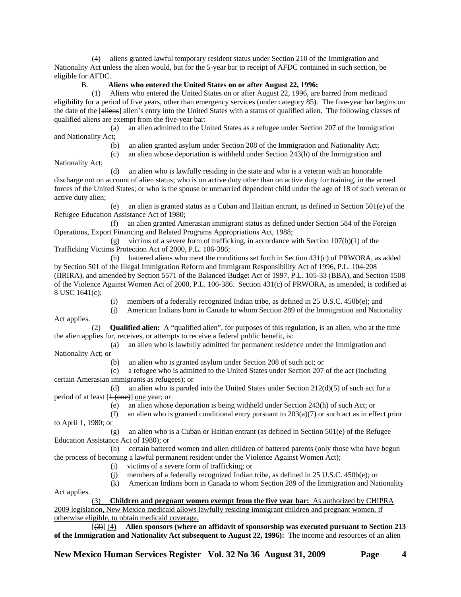(4) aliens granted lawful temporary resident status under Section 210 of the Immigration and Nationality Act unless the alien would, but for the 5-year bar to receipt of AFDC contained in such section, be eligible for AFDC.

## B. **Aliens who entered the United States on or after August 22, 1996:**

 (1) Aliens who entered the United States on or after August 22, 1996, are barred from medicaid eligibility for a period of five years, other than emergency services (under category 85). The five-year bar begins on the date of the [aliens] alien's entry into the United States with a status of qualified alien. The following classes of qualified aliens are exempt from the five-year bar:

 (a) an alien admitted to the United States as a refugee under Section 207 of the Immigration and Nationality Act;

(b) an alien granted asylum under Section 208 of the Immigration and Nationality Act;

(c) an alien whose deportation is withheld under Section 243(h) of the Immigration and

Nationality Act;

 (d) an alien who is lawfully residing in the state and who is a veteran with an honorable discharge not on account of alien status; who is on active duty other than on active duty for training, in the armed forces of the United States; or who is the spouse or unmarried dependent child under the age of 18 of such veteran or active duty alien;

 (e) an alien is granted status as a Cuban and Haitian entrant, as defined in Section 501(e) of the Refugee Education Assistance Act of 1980;

 (f) an alien granted Amerasian immigrant status as defined under Section 584 of the Foreign Operations, Export Financing and Related Programs Appropriations Act, 1988;

 (g) victims of a severe form of trafficking, in accordance with Section 107(b)(1) of the Trafficking Victims Protection Act of 2000, P.L. 106-386;

 (h) battered aliens who meet the conditions set forth in Section 431(c) of PRWORA, as added by Section 501 of the Illegal Immigration Reform and Immigrant Responsibility Act of 1996, P.L. 104-208 (IIRIRA), and amended by Section 5571 of the Balanced Budget Act of 1997, P.L. 105-33 (BBA), and Section 1508 of the Violence Against Women Act of 2000, P.L. 106-386. Section 431(c) of PRWORA, as amended, is codified at 8 USC 1641(c);

(i) members of a federally recognized Indian tribe, as defined in 25 U.S.C. 450b(e); and

(j) American Indians born in Canada to whom Section 289 of the Immigration and Nationality

 (2) **Qualified alien:** A "qualified alien", for purposes of this regulation, is an alien, who at the time the alien applies for, receives, or attempts to receive a federal public benefit, is:

 (a) an alien who is lawfully admitted for permanent residence under the Immigration and Nationality Act; or

(b) an alien who is granted asylum under Section 208 of such act; or

 (c) a refugee who is admitted to the United States under Section 207 of the act (including certain Amerasian immigrants as refugees); or

(d) an alien who is paroled into the United States under Section  $212(d)(5)$  of such act for a period of at least  $[1$  (one)] one year; or

(e) an alien whose deportation is being withheld under Section 243(h) of such Act; or

(f) an alien who is granted conditional entry pursuant to  $203(a)(7)$  or such act as in effect prior

to April 1, 1980; or

 (g) an alien who is a Cuban or Haitian entrant (as defined in Section 501(e) of the Refugee Education Assistance Act of 1980); or

 (h) certain battered women and alien children of battered parents (only those who have begun the process of becoming a lawful permanent resident under the Violence Against Women Act);

(i) victims of a severe form of trafficking; or

(j) members of a federally recognized Indian tribe, as defined in 25 U.S.C. 450b(e); or

(k) American Indians born in Canada to whom Section 289 of the Immigration and Nationality

Act applies.

Act applies.

 (3) **Children and pregnant women exempt from the five year bar:** As authorized by CHIPRA 2009 legislation, New Mexico medicaid allows lawfully residing immigrant children and pregnant women, if otherwise eligible, to obtain medicaid coverage.

 [(3)] (4) **Alien sponsors (where an affidavit of sponsorship was executed pursuant to Section 213 of the Immigration and Nationality Act subsequent to August 22, 1996):** The income and resources of an alien

**New Mexico Human Services Register Vol. 32 No 36 August 31, 2009 Page 4**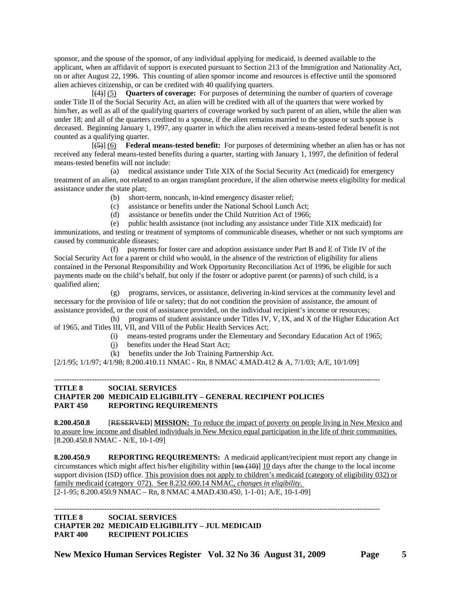sponsor, and the spouse of the sponsor, of any individual applying for medicaid, is deemed available to the applicant, when an affidavit of support is executed pursuant to Section 213 of the Immigration and Nationality Act, on or after August 22, 1996. This counting of alien sponsor income and resources is effective until the sponsored alien achieves citizenship, or can be credited with 40 qualifying quarters.

 [(4)] (5) **Quarters of coverage:** For purposes of determining the number of quarters of coverage under Title II of the Social Security Act, an alien will be credited with all of the quarters that were worked by him/her, as well as all of the qualifying quarters of coverage worked by such parent of an alien, while the alien was under 18; and all of the quarters credited to a spouse, if the alien remains married to the spouse or such spouse is deceased. Beginning January 1, 1997, any quarter in which the alien received a means-tested federal benefit is not counted as a qualifying quarter.

 [(5)] (6) **Federal means-tested benefit:** For purposes of determining whether an alien has or has not received any federal means-tested benefits during a quarter, starting with January 1, 1997, the definition of federal means-tested benefits will not include:

 (a) medical assistance under Title XIX of the Social Security Act (medicaid) for emergency treatment of an alien, not related to an organ transplant procedure, if the alien otherwise meets eligibility for medical assistance under the state plan;

- (b) short-term, noncash, in-kind emergency disaster relief;
- (c) assistance or benefits under the National School Lunch Act;
- (d) assistance or benefits under the Child Nutrition Act of 1966;

 (e) public health assistance (not including any assistance under Title XIX medicaid) for immunizations, and testing or treatment of symptoms of communicable diseases, whether or not such symptoms are caused by communicable diseases;

 (f) payments for foster care and adoption assistance under Part B and E of Title IV of the Social Security Act for a parent or child who would, in the absence of the restriction of eligibility for aliens contained in the Personal Responsibility and Work Opportunity Reconciliation Act of 1996, be eligible for such payments made on the child's behalf, but only if the foster or adoptive parent (or parents) of such child, is a qualified alien;

 (g) programs, services, or assistance, delivering in-kind services at the community level and necessary for the provision of life or safety; that do not condition the provision of assistance, the amount of assistance provided, or the cost of assistance provided, on the individual recipient's income or resources;

 (h) programs of student assistance under Titles IV, V, IX, and X of the Higher Education Act of 1965, and Titles III, VII, and VIII of the Public Health Services Act;

----------------------------------------------------------------------------------------------------------------------------------

- (i) means-tested programs under the Elementary and Secondary Education Act of 1965;
- (j) benefits under the Head Start Act;
- (k) benefits under the Job Training Partnership Act.

[2/1/95; 1/1/97; 4/1/98; 8.200.410.11 NMAC - Rn, 8 NMAC 4.MAD.412 & A, 7/1/03; A/E, 10/1/09]

## **TITLE 8 SOCIAL SERVICES CHAPTER 200 MEDICAID ELIGIBILITY – GENERAL RECIPIENT POLICIES PART 450 REPORTING REQUIREMENTS**

**8.200.450.8** [RESERVED] **MISSION:** To reduce the impact of poverty on people living in New Mexico and to assure low income and disabled individuals in New Mexico equal participation in the life of their communities. [8.200.450.8 NMAC - N/E, 10-1-09]

**8.200.450.9 REPORTING REQUIREMENTS:** A medicaid applicant/recipient must report any change in circumstances which might affect his/her eligibility within  $[\text{ten (10)}]$  10 days after the change to the local income support division (ISD) office. This provision does not apply to children's medicaid (category of eligibility 032) or family medicaid (category 072). See 8.232.600.14 NMAC, *changes in eligibility*.

[2-1-95; 8.200.450.9 NMAC – Rn, 8 NMAC 4.MAD.430.450, 1-1-01; A/E, 10-1-09]

----------------------------------------------------------------------------------------------------------------------------------

**TITLE 8 SOCIAL SERVICES CHAPTER 202 MEDICAID ELIGIBILITY – JUL MEDICAID PART 400 RECIPIENT POLICIES** 

**New Mexico Human Services Register Vol. 32 No 36 August 31, 2009 Page 5**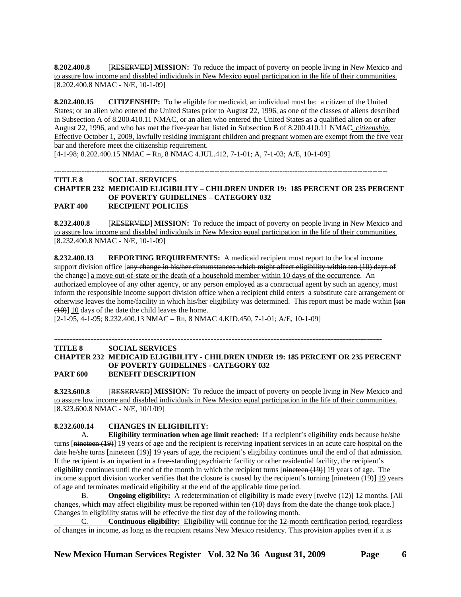**8.202.400.8** [RESERVED] **MISSION:** To reduce the impact of poverty on people living in New Mexico and to assure low income and disabled individuals in New Mexico equal participation in the life of their communities. [8.202.400.8 NMAC - N/E, 10-1-09]

**8.202.400.15 CITIZENSHIP:** To be eligible for medicaid, an individual must be: a citizen of the United States; or an alien who entered the United States prior to August 22, 1996, as one of the classes of aliens described in Subsection A of 8.200.410.11 NMAC, or an alien who entered the United States as a qualified alien on or after August 22, 1996, and who has met the five-year bar listed in Subsection B of 8.200.410.11 NMAC, *citizenship*. Effective October 1, 2009, lawfully residing immigrant children and pregnant women are exempt from the five year bar and therefore meet the citizenship requirement.

[4-1-98; 8.202.400.15 NMAC – Rn, 8 NMAC 4.JUL.412, 7-1-01; A, 7-1-03; A/E, 10-1-09]

### ------------------------------------------------------------------------------------------------------------------------------------- **TITLE 8 SOCIAL SERVICES CHAPTER 232 MEDICAID ELIGIBILITY – CHILDREN UNDER 19: 185 PERCENT OR 235 PERCENT OF POVERTY GUIDELINES – CATEGORY 032 PART 400 RECIPIENT POLICIES**

**8.232.400.8** [RESERVED] **MISSION:** To reduce the impact of poverty on people living in New Mexico and to assure low income and disabled individuals in New Mexico equal participation in the life of their communities. [8.232.400.8 NMAC - N/E, 10-1-09]

**8.232.400.13 REPORTING REQUIREMENTS:** A medicaid recipient must report to the local income support division office [any change in his/her circumstances which might affect eligibility within ten (10) days of the change] a move out-of-state or the death of a household member within 10 days of the occurrence. An authorized employee of any other agency, or any person employed as a contractual agent by such an agency, must inform the responsible income support division office when a recipient child enters a substitute care arrangement or otherwise leaves the home/facility in which his/her eligibility was determined. This report must be made within [ten (10)] 10 days of the date the child leaves the home.

[2-1-95, 4-1-95; 8.232.400.13 NMAC – Rn, 8 NMAC 4.KID.450, 7-1-01; A/E, 10-1-09]

#### ------------------------------------------------------------------------------------------------------------- **TITLE 8 SOCIAL SERVICES**

### **CHAPTER 232 MEDICAID ELIGIBILITY - CHILDREN UNDER 19: 185 PERCENT OR 235 PERCENT OF POVERTY GUIDELINES - CATEGORY 032 PART 600 BENEFIT DESCRIPTION**

**8.323.600.8** [RESERVED] **MISSION:** To reduce the impact of poverty on people living in New Mexico and to assure low income and disabled individuals in New Mexico equal participation in the life of their communities. [8.323.600.8 NMAC - N/E, 10/1/09]

### **8.232.600.14 CHANGES IN ELIGIBILITY:**

 A. **Eligibility termination when age limit reached:** If a recipient's eligibility ends because he/she turns [<del>nineteen (19)</del>] 19 years of age and the recipient is receiving inpatient services in an acute care hospital on the date he/she turns  $\left[\frac{\text{mineteen (19)}}{19}\right]$  years of age, the recipient's eligibility continues until the end of that admission. If the recipient is an inpatient in a free-standing psychiatric facility or other residential facility, the recipient's eligibility continues until the end of the month in which the recipient turns [nineteen (19)] 19 years of age. The income support division worker verifies that the closure is caused by the recipient's turning [nineteen (19)] 19 years of age and terminates medicaid eligibility at the end of the applicable time period.

 B. **Ongoing eligibility:** A redetermination of eligibility is made every [twelve (12)] 12 months. [All changes, which may affect eligibility must be reported within ten (10) days from the date the change took place.] Changes in eligibility status will be effective the first day of the following month.

 C. **Continuous eligibility:** Eligibility will continue for the 12-month certification period, regardless of changes in income, as long as the recipient retains New Mexico residency. This provision applies even if it is

**New Mexico Human Services Register Vol. 32 No 36 August 31, 2009 Page 6**